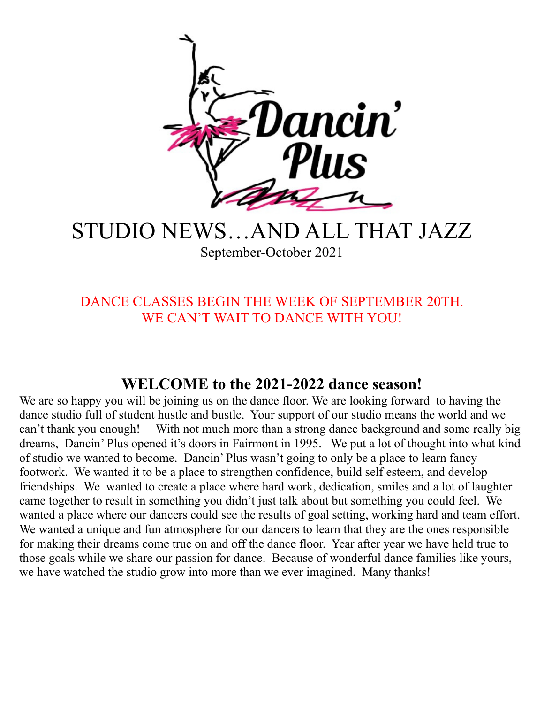

### STUDIO NEWS…AND ALL THAT JAZZ September-October 2021

DANCE CLASSES BEGIN THE WEEK OF SEPTEMBER 20TH. WE CAN'T WAIT TO DANCE WITH YOU!

#### **WELCOME to the 2021-2022 dance season!**

We are so happy you will be joining us on the dance floor. We are looking forward to having the dance studio full of student hustle and bustle. Your support of our studio means the world and we can't thank you enough! With not much more than a strong dance background and some really big dreams, Dancin' Plus opened it's doors in Fairmont in 1995. We put a lot of thought into what kind of studio we wanted to become. Dancin' Plus wasn't going to only be a place to learn fancy footwork. We wanted it to be a place to strengthen confidence, build self esteem, and develop friendships. We wanted to create a place where hard work, dedication, smiles and a lot of laughter came together to result in something you didn't just talk about but something you could feel. We wanted a place where our dancers could see the results of goal setting, working hard and team effort. We wanted a unique and fun atmosphere for our dancers to learn that they are the ones responsible for making their dreams come true on and off the dance floor. Year after year we have held true to those goals while we share our passion for dance. Because of wonderful dance families like yours, we have watched the studio grow into more than we ever imagined. Many thanks!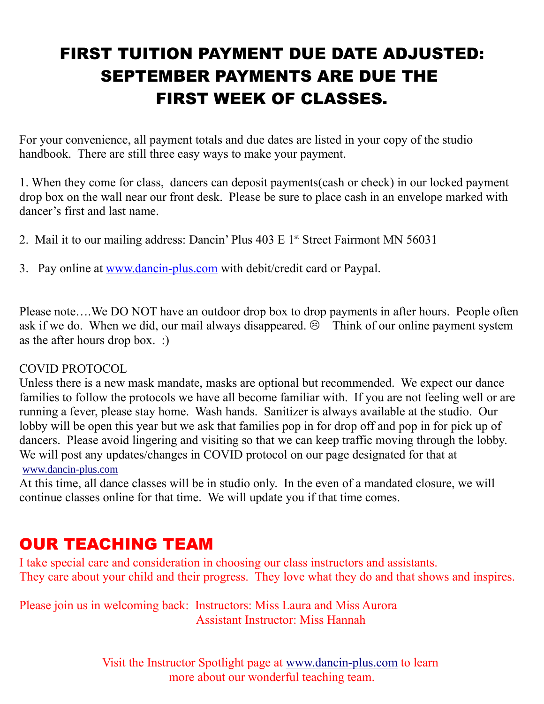# FIRST TUITION PAYMENT DUE DATE ADJUSTED: SEPTEMBER PAYMENTS ARE DUE THE FIRST WEEK OF CLASSES.

For your convenience, all payment totals and due dates are listed in your copy of the studio handbook. There are still three easy ways to make your payment.

1. When they come for class, dancers can deposit payments(cash or check) in our locked payment drop box on the wall near our front desk. Please be sure to place cash in an envelope marked with dancer's first and last name.

- 2. Mail it to our mailing address: Dancin' Plus  $403 \text{ E } 1^{\text{st}}$  Street Fairmont MN 56031
- 3. Pay online at www.dancin-plus.com with debit/credit card or Paypal.

Please note….We DO NOT have an outdoor drop box to drop payments in after hours. People often ask if we do. When we did, our mail always disappeared.  $\odot$  Think of our online payment system as the after hours drop box. :)

#### COVID PROTOCOL

Unless there is a new mask mandate, masks are optional but recommended. We expect our dance families to follow the protocols we have all become familiar with. If you are not feeling well or are running a fever, please stay home. Wash hands. Sanitizer is always available at the studio. Our lobby will be open this year but we ask that families pop in for drop off and pop in for pick up of dancers. Please avoid lingering and visiting so that we can keep traffic moving through the lobby. We will post any updates/changes in COVID protocol on our page designated for that at www.dancin-plus.com

At this time, all dance classes will be in studio only. In the even of a mandated closure, we will continue classes online for that time. We will update you if that time comes.

### OUR TEACHING TEAM

I take special care and consideration in choosing our class instructors and assistants. They care about your child and their progress. They love what they do and that shows and inspires.

Please join us in welcoming back: Instructors: Miss Laura and Miss Aurora Assistant Instructor: Miss Hannah

> Visit the Instructor Spotlight page at www.dancin-plus.com to learn more about our wonderful teaching team.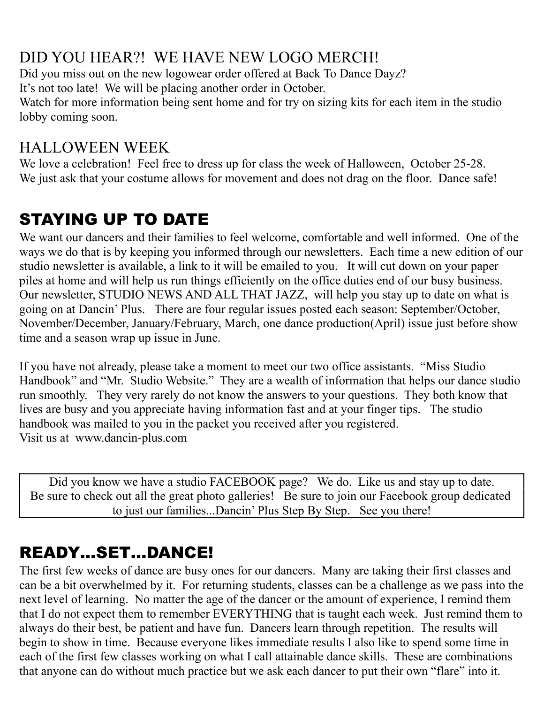### DID YOU HEAR?! WE HAVE NEW LOGO MERCH!

Did you miss out on the new logowear order offered at Back To Dance Dayz? It's not too late! We will be placing another order in October.

Watch for more information being sent home and for try on sizing kits for each item in the studio lobby coming soon.

#### HALLOWEEN WEEK

We love a celebration! Feel free to dress up for class the week of Halloween, October 25-28. We just ask that your costume allows for movement and does not drag on the floor. Dance safe!

# STAYING UP TO DATE

We want our dancers and their families to feel welcome, comfortable and well informed. One of the ways we do that is by keeping you informed through our newsletters. Each time a new edition of our studio newsletter is available, a link to it will be emailed to you. It will cut down on your paper piles at home and will help us run things efficiently on the office duties end of our busy business. Our newsletter, STUDIO NEWS AND ALL THAT JAZZ, will help you stay up to date on what is going on at Dancin' Plus. There are four regular issues posted each season: September/October, November/December, January/February, March, one dance production(April) issue just before show time and a season wrap up issue in June.

If you have not already, please take a moment to meet our two office assistants. "Miss Studio Handbook" and "Mr. Studio Website." They are a wealth of information that helps our dance studio run smoothly. They very rarely do not know the answers to your questions. They both know that lives are busy and you appreciate having information fast and at your finger tips. The studio handbook was mailed to you in the packet you received after you registered. Visit us at www.dancin-plus.com

Did you know we have a studio FACEBOOK page? We do. Like us and stay up to date. Be sure to check out all the great photo galleries! Be sure to join our Facebook group dedicated to just our families...Dancin' Plus Step By Step. See you there!

### READY…SET…DANCE!

The first few weeks of dance are busy ones for our dancers. Many are taking their first classes and can be a bit overwhelmed by it. For returning students, classes can be a challenge as we pass into the next level of learning. No matter the age of the dancer or the amount of experience, I remind them that I do not expect them to remember EVERYTHING that is taught each week. Just remind them to always do their best, be patient and have fun. Dancers learn through repetition. The results will begin to show in time. Because everyone likes immediate results I also like to spend some time in each of the first few classes working on what I call attainable dance skills. These are combinations that anyone can do without much practice but we ask each dancer to put their own "flare" into it.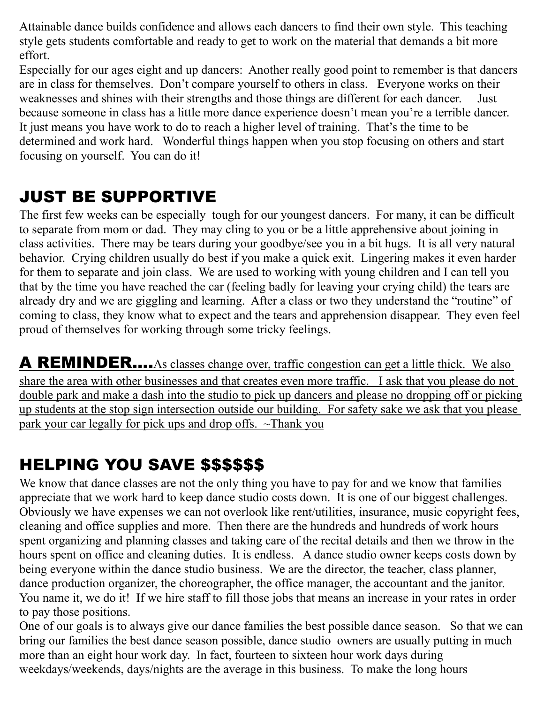Attainable dance builds confidence and allows each dancers to find their own style. This teaching style gets students comfortable and ready to get to work on the material that demands a bit more effort.

Especially for our ages eight and up dancers: Another really good point to remember is that dancers are in class for themselves. Don't compare yourself to others in class. Everyone works on their weaknesses and shines with their strengths and those things are different for each dancer. Just because someone in class has a little more dance experience doesn't mean you're a terrible dancer. It just means you have work to do to reach a higher level of training. That's the time to be determined and work hard. Wonderful things happen when you stop focusing on others and start focusing on yourself. You can do it!

### JUST BE SUPPORTIVE

The first few weeks can be especially tough for our youngest dancers. For many, it can be difficult to separate from mom or dad. They may cling to you or be a little apprehensive about joining in class activities. There may be tears during your goodbye/see you in a bit hugs. It is all very natural behavior. Crying children usually do best if you make a quick exit. Lingering makes it even harder for them to separate and join class. We are used to working with young children and I can tell you that by the time you have reached the car (feeling badly for leaving your crying child) the tears are already dry and we are giggling and learning. After a class or two they understand the "routine" of coming to class, they know what to expect and the tears and apprehension disappear. They even feel proud of themselves for working through some tricky feelings.

A REMINDER....As classes change over, traffic congestion can get a little thick. We also share the area with other businesses and that creates even more traffic. I ask that you please do not double park and make a dash into the studio to pick up dancers and please no dropping off or picking up students at the stop sign intersection outside our building. For safety sake we ask that you please park your car legally for pick ups and drop offs. ~Thank you

### HELPING YOU SAVE \$\$\$\$\$\$

We know that dance classes are not the only thing you have to pay for and we know that families appreciate that we work hard to keep dance studio costs down. It is one of our biggest challenges. Obviously we have expenses we can not overlook like rent/utilities, insurance, music copyright fees, cleaning and office supplies and more. Then there are the hundreds and hundreds of work hours spent organizing and planning classes and taking care of the recital details and then we throw in the hours spent on office and cleaning duties. It is endless. A dance studio owner keeps costs down by being everyone within the dance studio business. We are the director, the teacher, class planner, dance production organizer, the choreographer, the office manager, the accountant and the janitor. You name it, we do it! If we hire staff to fill those jobs that means an increase in your rates in order to pay those positions.

One of our goals is to always give our dance families the best possible dance season. So that we can bring our families the best dance season possible, dance studio owners are usually putting in much more than an eight hour work day. In fact, fourteen to sixteen hour work days during weekdays/weekends, days/nights are the average in this business. To make the long hours